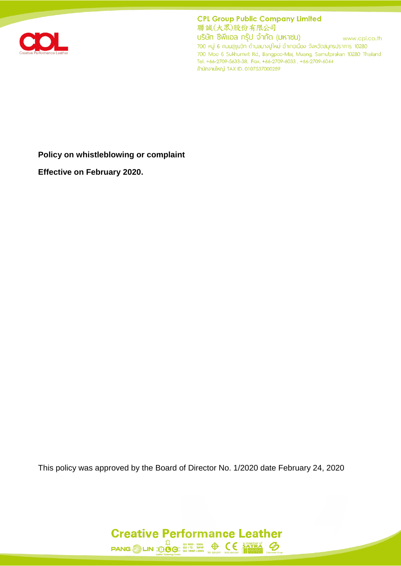

**CPL Group Public Company Limited** 聯誠(大眾)股份有限公司

บริษัท ซีพีแอล กรุ๊ป จำกัด (มหาชน) www.cpl.co.th 700 หมู่ 6 ถนนสุขุมวิท ตำบลบางปูใหม่ อำเภอเมือง จังหวัดสมุทรปราการ 10280 700 Moo 6 Sukhumvit Rd., Bangpoo-Mai, Muang, Samutprakan 10280 Thailand Tel. +66-2709-5633-38, Fax. +66-2709-6033, +66-2709-6044 สำนักงานใหญ่ TAX ID. 0107537000289

**Policy on whistleblowing or complaint**

**Effective on February 2020.**

This policy was approved by the Board of Director No. 1/2020 date February 24, 2020

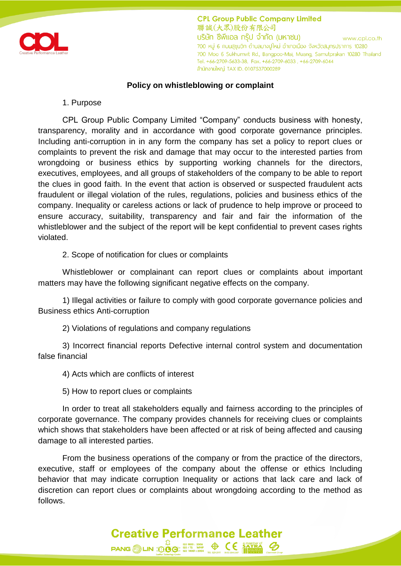

**CPL Group Public Company Limited** 聯誠(大眾)股份有限公司 ้บริษัท ซีพีแอล กร๊ป จำกัด (มหาชน) www.cpl.co.th 700 หมู่ 6 กนนสุขุมวิท ตำบลบางปูใหม่ อำเภอเมือง จังหวัดสมุทรปราการ 10280 700 Moo 6 Sukhumvit Rd., Bangpoo-Mai, Muang, Samutprakan 10280 Thailand Tel. +66-2709-5633-38, Fax. +66-2709-6033, +66-2709-6044 ลำนักงานใหญ่ TAX ID. 0107537000289

## **Policy on whistleblowing or complaint**

### 1. Purpose

CPL Group Public Company Limited "Company" conducts business with honesty, transparency, morality and in accordance with good corporate governance principles. Including anti-corruption in in any form the company has set a policy to report clues or complaints to prevent the risk and damage that may occur to the interested parties from wrongdoing or business ethics by supporting working channels for the directors, executives, employees, and all groups of stakeholders of the company to be able to report the clues in good faith. In the event that action is observed or suspected fraudulent acts fraudulent or illegal violation of the rules, regulations, policies and business ethics of the company. Inequality or careless actions or lack of prudence to help improve or proceed to ensure accuracy, suitability, transparency and fair and fair the information of the whistleblower and the subject of the report will be kept confidential to prevent cases rights violated.

2. Scope of notification for clues or complaints

Whistleblower or complainant can report clues or complaints about important matters may have the following significant negative effects on the company.

1) Illegal activities or failure to comply with good corporate governance policies and Business ethics Anti-corruption

2) Violations of regulations and company regulations

3) Incorrect financial reports Defective internal control system and documentation false financial

4) Acts which are conflicts of interest

5) How to report clues or complaints

In order to treat all stakeholders equally and fairness according to the principles of corporate governance. The company provides channels for receiving clues or complaints which shows that stakeholders have been affected or at risk of being affected and causing damage to all interested parties.

From the business operations of the company or from the practice of the directors, executive, staff or employees of the company about the offense or ethics Including behavior that may indicate corruption Inequality or actions that lack care and lack of discretion can report clues or complaints about wrongdoing according to the method as follows.

**Creative Performance Leather** 

**PANG LIN**  $\overline{300}$   $\overline{60}$   $\overline{3001: 2008}$   $\overline{4001: 2008}$   $\overline{500}$   $\overline{6001: 2004}$   $\overline{6001: 2008}$   $\overline{6001: 2004}$   $\overline{6001: 2004}$   $\overline{6001: 2004}$   $\overline{6001: 2004}$   $\overline{6001: 2004}$   $\overline{6001: 2004}$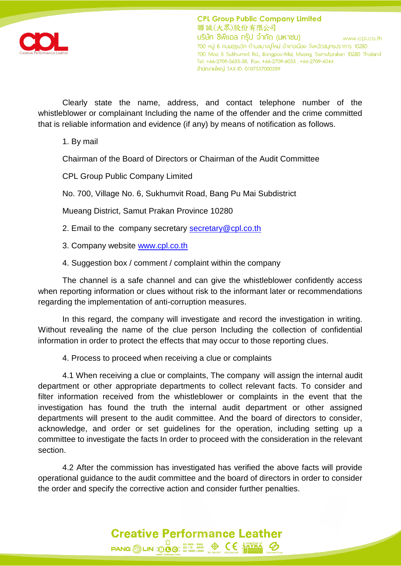

Clearly state the name, address, and contact telephone number of the whistleblower or complainant Including the name of the offender and the crime committed that is reliable information and evidence (if any) by means of notification as follows.

1. By mail

Chairman of the Board of Directors or Chairman of the Audit Committee

CPL Group Public Company Limited

No. 700, Village No. 6, Sukhumvit Road, Bang Pu Mai Subdistrict

Mueang District, Samut Prakan Province 10280

2. Email to the company secretary [secretary@cpl.co.th](mailto:secretary@cpl.co.th)

3. Company website [www.cpl.co.th](http://www.cpl.co.th/)

4. Suggestion box / comment / complaint within the company

The channel is a safe channel and can give the whistleblower confidently access when reporting information or clues without risk to the informant later or recommendations regarding the implementation of anti-corruption measures.

In this regard, the company will investigate and record the investigation in writing. Without revealing the name of the clue person Including the collection of confidential information in order to protect the effects that may occur to those reporting clues.

4. Process to proceed when receiving a clue or complaints

4.1 When receiving a clue or complaints, The company will assign the internal audit department or other appropriate departments to collect relevant facts. To consider and filter information received from the whistleblower or complaints in the event that the investigation has found the truth the internal audit department or other assigned departments will present to the audit committee. And the board of directors to consider, acknowledge, and order or set guidelines for the operation, including setting up a committee to investigate the facts In order to proceed with the consideration in the relevant section.

4.2 After the commission has investigated has verified the above facts will provide operational guidance to the audit committee and the board of directors in order to consider the order and specify the corrective action and consider further penalties.

# **Creative Performance Leather** PANG LIN **DOC** 50 1001 : 2008<br>PANG LIN **DOC** 50 14001 : 2004<br> $\frac{1}{100}$  son and 1204  $\frac{1}{100}$  son  $\frac{1}{100}$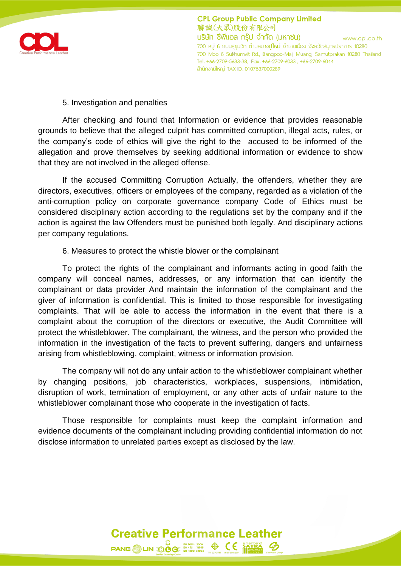

**CPL Group Public Company Limited** 聯誠(大眾)股份有限公司 ้บริษัท ซีพีแอล กร๊ป จำกัด (มหาชน) www.cpl.co.th 700 หมู่ 6 กนนสุขุมวิท ตำบลบางปูใหม่ อำเภอเมือง จังหวัดสมุทรปราการ 10280 700 Moo 6 Sukhumvit Rd., Bangpoo-Mai, Muang, Samutprakan 10280 Thailand Tel. +66-2709-5633-38, Fax. +66-2709-6033, +66-2709-6044 ลำนักงานใหญ่ TAX ID. 0107537000289

### 5. Investigation and penalties

After checking and found that Information or evidence that provides reasonable grounds to believe that the alleged culprit has committed corruption, illegal acts, rules, or the company's code of ethics will give the right to the accused to be informed of the allegation and prove themselves by seeking additional information or evidence to show that they are not involved in the alleged offense.

If the accused Committing Corruption Actually, the offenders, whether they are directors, executives, officers or employees of the company, regarded as a violation of the anti-corruption policy on corporate governance company Code of Ethics must be considered disciplinary action according to the regulations set by the company and if the action is against the law Offenders must be punished both legally. And disciplinary actions per company regulations.

## 6. Measures to protect the whistle blower or the complainant

To protect the rights of the complainant and informants acting in good faith the company will conceal names, addresses, or any information that can identify the complainant or data provider And maintain the information of the complainant and the giver of information is confidential. This is limited to those responsible for investigating complaints. That will be able to access the information in the event that there is a complaint about the corruption of the directors or executive, the Audit Committee will protect the whistleblower. The complainant, the witness, and the person who provided the information in the investigation of the facts to prevent suffering, dangers and unfairness arising from whistleblowing, complaint, witness or information provision.

The company will not do any unfair action to the whistleblower complainant whether by changing positions, job characteristics, workplaces, suspensions, intimidation, disruption of work, termination of employment, or any other acts of unfair nature to the whistleblower complainant those who cooperate in the investigation of facts.

Those responsible for complaints must keep the complaint information and evidence documents of the complainant including providing confidential information do not disclose information to unrelated parties except as disclosed by the law.

**Creative Performance Leather**